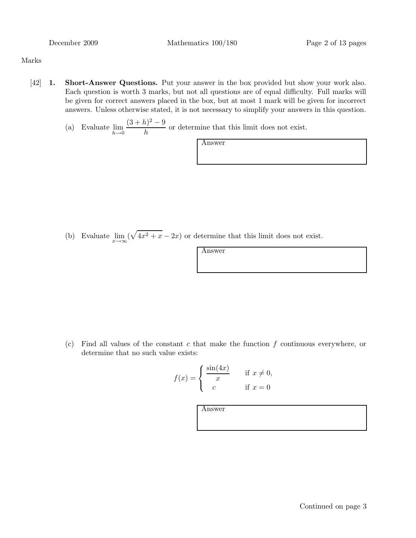Marks

- [42] 1. Short-Answer Questions. Put your answer in the box provided but show your work also. Each question is worth 3 marks, but not all questions are of equal difficulty. Full marks will be given for correct answers placed in the box, but at most 1 mark will be given for incorrect answers. Unless otherwise stated, it is not necessary to simplify your answers in this question.
	- (a) Evaluate  $\lim_{h\to 0}$  $(3+h)^2-9$  $\frac{\partial f}{\partial h}$  or determine that this limit does not exist.

Answer

(b) Evaluate  $\lim_{x \to \infty} (\sqrt{4x^2 + x} - 2x)$  or determine that this limit does not exist.

Answer

(c) Find all values of the constant  $c$  that make the function  $f$  continuous everywhere, or determine that no such value exists:

$$
f(x) = \begin{cases} \frac{\sin(4x)}{x} & \text{if } x \neq 0, \\ c & \text{if } x = 0 \end{cases}
$$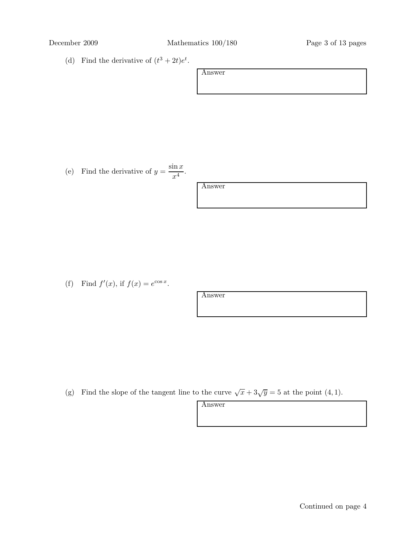(d) Find the derivative of  $(t^3 + 2t)e^t$ .

| Answer |  |  |  |
|--------|--|--|--|
|        |  |  |  |
|        |  |  |  |

(e) Find the derivative of  $y = \frac{\sin x}{4}$  $\frac{1}{x^4}$ .

| mswer |
|-------|
|       |

(f) Find  $f'(x)$ , if  $f(x) = e^{\cos x}$ .

Answer

(g) Find the slope of the tangent line to the curve  $\sqrt{x} + 3\sqrt{y} = 5$  at the point (4, 1).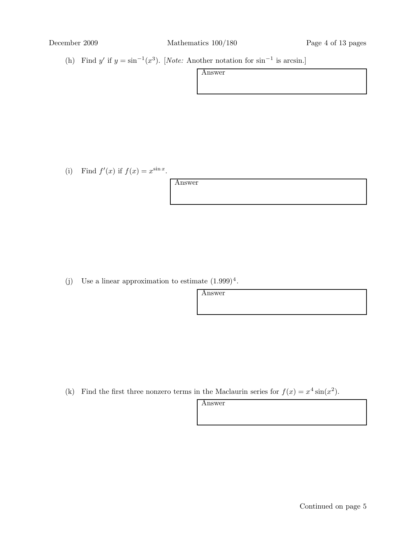(h) Find y' if  $y = \sin^{-1}(x^3)$ . [Note: Another notation for  $\sin^{-1}$  is arcsin.]

| Answer |  |  |  |
|--------|--|--|--|
|        |  |  |  |
|        |  |  |  |

(i) Find  $f'(x)$  if  $f(x) = x^{\sin x}$ .

Answer

(j) Use a linear approximation to estimate  $(1.999)^4$ .

Answer

(k) Find the first three nonzero terms in the Maclaurin series for  $f(x) = x^4 \sin(x^2)$ .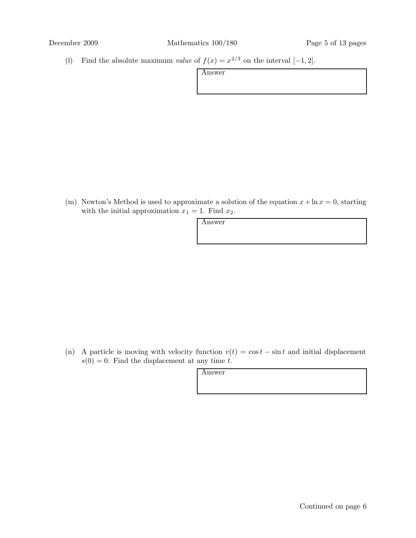(l) Find the absolute maximum *value* of  $f(x) = x^{2/3}$  on the interval [-1, 2].

| Answer |  |  |
|--------|--|--|
|        |  |  |
|        |  |  |

(m) Newton's Method is used to approximate a solution of the equation  $x + \ln x = 0$ , starting with the initial approximation  $x_1 = 1$ . Find  $x_2$ .

(n) A particle is moving with velocity function  $v(t) = \cos t - \sin t$  and initial displacement  $s(0) = 0$ . Find the displacement at any time t.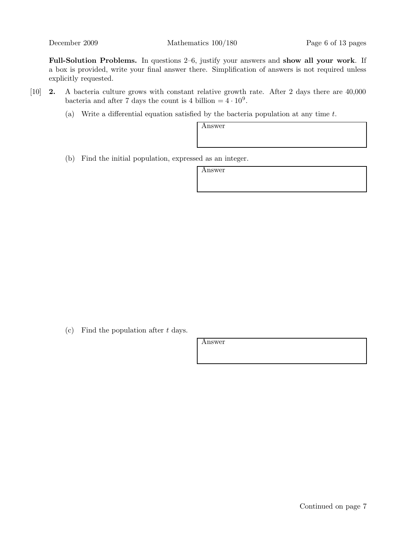December 2009 Mathematics 100/180 Page 6 of 13 pages

Full-Solution Problems. In questions 2–6, justify your answers and show all your work. If a box is provided, write your final answer there. Simplification of answers is not required unless explicitly requested.

- [10] 2. A bacteria culture grows with constant relative growth rate. After 2 days there are 40,000 bacteria and after 7 days the count is 4 billion  $= 4 \cdot 10^9$ .
	- (a) Write a differential equation satisfied by the bacteria population at any time t.

Answer

(b) Find the initial population, expressed as an integer.

Answer

(c) Find the population after  $t$  days.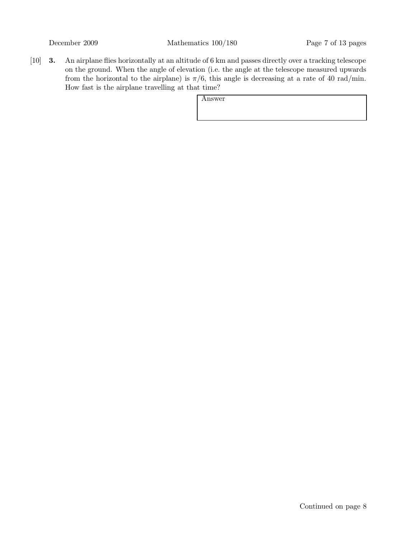[10] 3. An airplane flies horizontally at an altitude of 6 km and passes directly over a tracking telescope on the ground. When the angle of elevation (i.e. the angle at the telescope measured upwards from the horizontal to the airplane) is  $\pi/6$ , this angle is decreasing at a rate of 40 rad/min. How fast is the airplane travelling at that time?

| Answer |  |  |  |
|--------|--|--|--|
|        |  |  |  |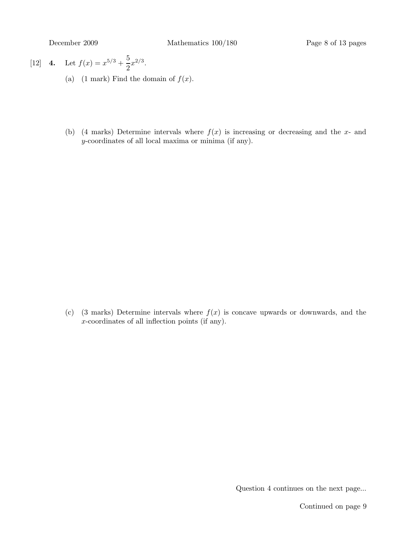[12] **4.** Let 
$$
f(x) = x^{5/3} + \frac{5}{2}x^{2/3}
$$
.

- (a) (1 mark) Find the domain of  $f(x)$ .
- (b) (4 marks) Determine intervals where  $f(x)$  is increasing or decreasing and the x- and y-coordinates of all local maxima or minima (if any).

(c) (3 marks) Determine intervals where  $f(x)$  is concave upwards or downwards, and the x-coordinates of all inflection points (if any).

Question 4 continues on the next page...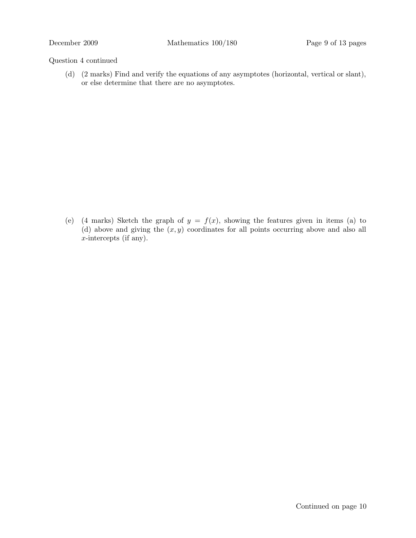### Question 4 continued

(d) (2 marks) Find and verify the equations of any asymptotes (horizontal, vertical or slant), or else determine that there are no asymptotes.

(e) (4 marks) Sketch the graph of  $y = f(x)$ , showing the features given in items (a) to (d) above and giving the  $(x, y)$  coordinates for all points occurring above and also all x-intercepts (if any).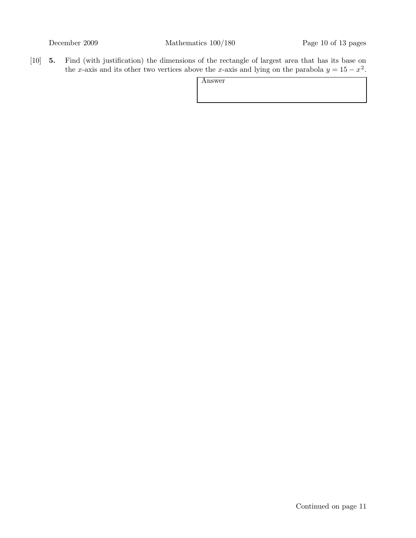[10] 5. Find (with justification) the dimensions of the rectangle of largest area that has its base on the x-axis and its other two vertices above the x-axis and lying on the parabola  $y = 15 - x^2$ .

| Answer |  |  |
|--------|--|--|
|        |  |  |
|        |  |  |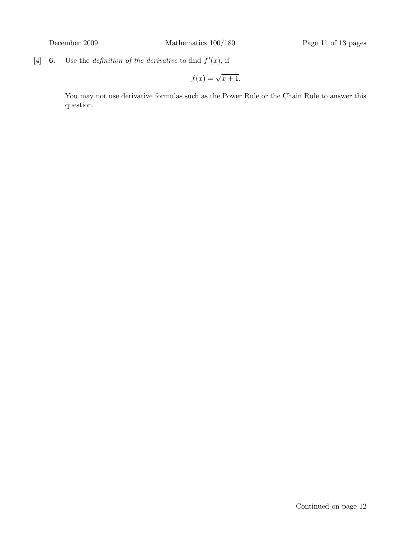[4] **6.** Use the *definition of the derivative* to find  $f'(x)$ , if

$$
f(x) = \sqrt{x+1}.
$$

You may not use derivative formulas such as the Power Rule or the Chain Rule to answer this question.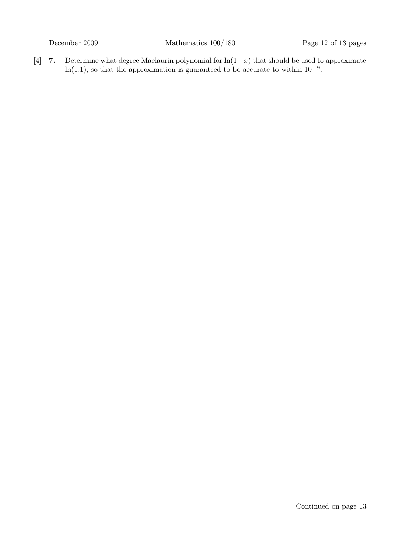[4] 7. Determine what degree Maclaurin polynomial for  $\ln(1-x)$  that should be used to approximate ln(1.1), so that the approximation is guaranteed to be accurate to within  $10^{-9}$ .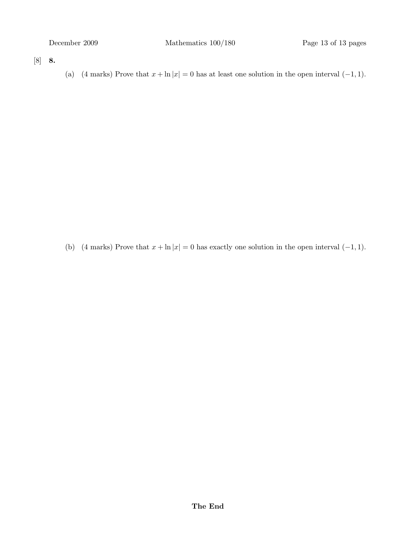[8] 8.

(a) (4 marks) Prove that  $x + \ln |x| = 0$  has at least one solution in the open interval  $(-1, 1)$ .

(b) (4 marks) Prove that  $x + \ln |x| = 0$  has exactly one solution in the open interval  $(-1, 1)$ .